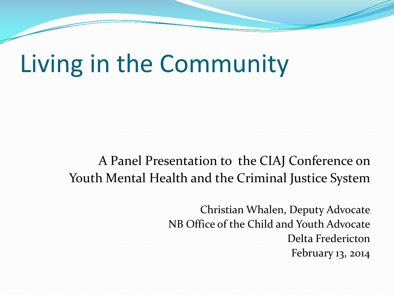# Living in the Community

#### A Panel Presentation to the CIAJ Conference on Youth Mental Health and the Criminal Justice System

Christian Whalen, Deputy Advocate NB Office of the Child and Youth Advocate Delta Fredericton February 13, 2014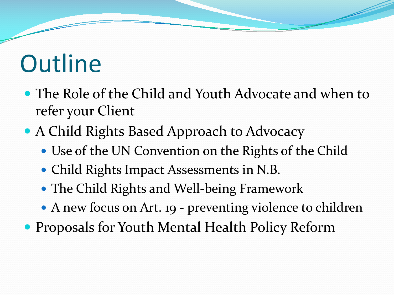# **Outline**

- The Role of the Child and Youth Advocate and when to refer your Client
- A Child Rights Based Approach to Advocacy
	- Use of the UN Convention on the Rights of the Child
	- Child Rights Impact Assessments in N.B.
	- The Child Rights and Well-being Framework
	- A new focus on Art. 19 preventing violence to children
- Proposals for Youth Mental Health Policy Reform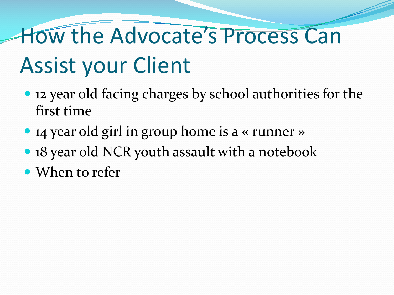# How the Advocate's Process Can Assist your Client

- 12 year old facing charges by school authorities for the first time
- 14 year old girl in group home is a « runner »
- 18 year old NCR youth assault with a notebook
- When to refer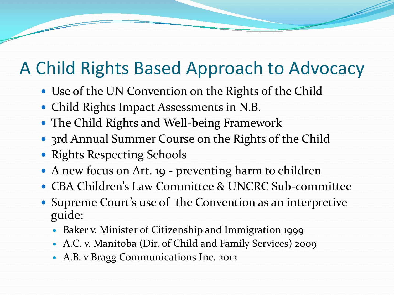### A Child Rights Based Approach to Advocacy

- Use of the UN Convention on the Rights of the Child
- Child Rights Impact Assessments in N.B.
- The Child Rights and Well-being Framework
- 3rd Annual Summer Course on the Rights of the Child
- Rights Respecting Schools
- A new focus on Art. 19 preventing harm to children
- CBA Children's Law Committee & UNCRC Sub-committee
- Supreme Court's use of the Convention as an interpretive guide:
	- Baker v. Minister of Citizenship and Immigration 1999
	- A.C. v. Manitoba (Dir. of Child and Family Services) 2009
	- A.B. v Bragg Communications Inc. 2012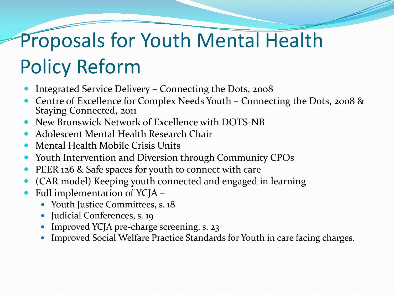# Proposals for Youth Mental Health Policy Reform

- Integrated Service Delivery Connecting the Dots, 2008
- Centre of Excellence for Complex Needs Youth Connecting the Dots, 2008 & Staying Connected, 2011
- New Brunswick Network of Excellence with DOTS-NB
- Adolescent Mental Health Research Chair
- Mental Health Mobile Crisis Units
- Youth Intervention and Diversion through Community CPOs
- PEER 126 & Safe spaces for youth to connect with care
- (CAR model) Keeping youth connected and engaged in learning
- Full implementation of YCJA
	- Youth Justice Committees, s. 18
	- Judicial Conferences, s. 19
	- Improved YCJA pre-charge screening, s. 23
	- Improved Social Welfare Practice Standards for Youth in care facing charges.